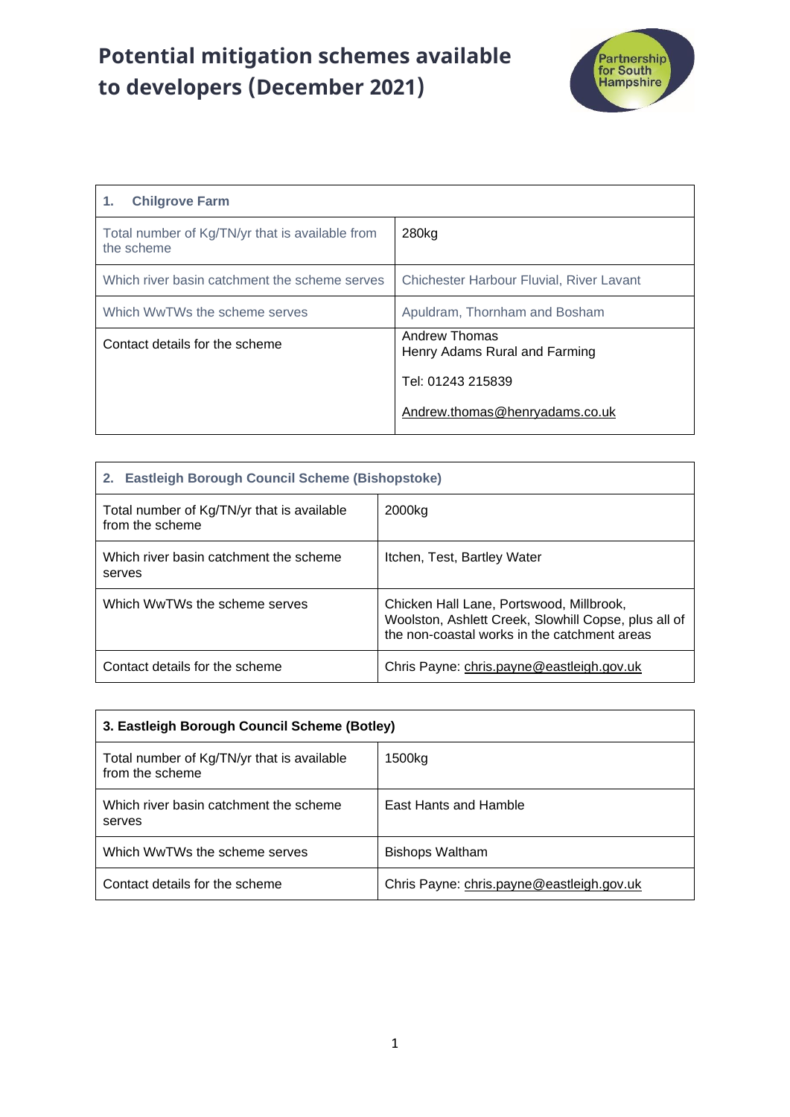## **Potential mitigation schemes available to developers (December 2021)**



| <b>Chilgrove Farm</b><br>1.                                   |                                                |
|---------------------------------------------------------------|------------------------------------------------|
| Total number of Kg/TN/yr that is available from<br>the scheme | 280kg                                          |
| Which river basin catchment the scheme serves                 | Chichester Harbour Fluvial, River Lavant       |
| Which WwTWs the scheme serves                                 | Apuldram, Thornham and Bosham                  |
| Contact details for the scheme                                | Andrew Thomas<br>Henry Adams Rural and Farming |
|                                                               | Tel: 01243 215839                              |
|                                                               | Andrew.thomas@henryadams.co.uk                 |

| 2. Eastleigh Borough Council Scheme (Bishopstoke)             |                                                                                                                                                  |
|---------------------------------------------------------------|--------------------------------------------------------------------------------------------------------------------------------------------------|
| Total number of Kg/TN/yr that is available<br>from the scheme | 2000kg                                                                                                                                           |
| Which river basin catchment the scheme<br>serves              | Itchen, Test, Bartley Water                                                                                                                      |
| Which WwTWs the scheme serves                                 | Chicken Hall Lane, Portswood, Millbrook,<br>Woolston, Ashlett Creek, Slowhill Copse, plus all of<br>the non-coastal works in the catchment areas |
| Contact details for the scheme                                | Chris Payne: chris.payne@eastleigh.gov.uk                                                                                                        |

| 3. Eastleigh Borough Council Scheme (Botley)                  |                                           |
|---------------------------------------------------------------|-------------------------------------------|
| Total number of Kg/TN/yr that is available<br>from the scheme | 1500kg                                    |
| Which river basin catchment the scheme<br>serves              | East Hants and Hamble                     |
| Which WwTWs the scheme serves                                 | <b>Bishops Waltham</b>                    |
| Contact details for the scheme                                | Chris Payne: chris.payne@eastleigh.gov.uk |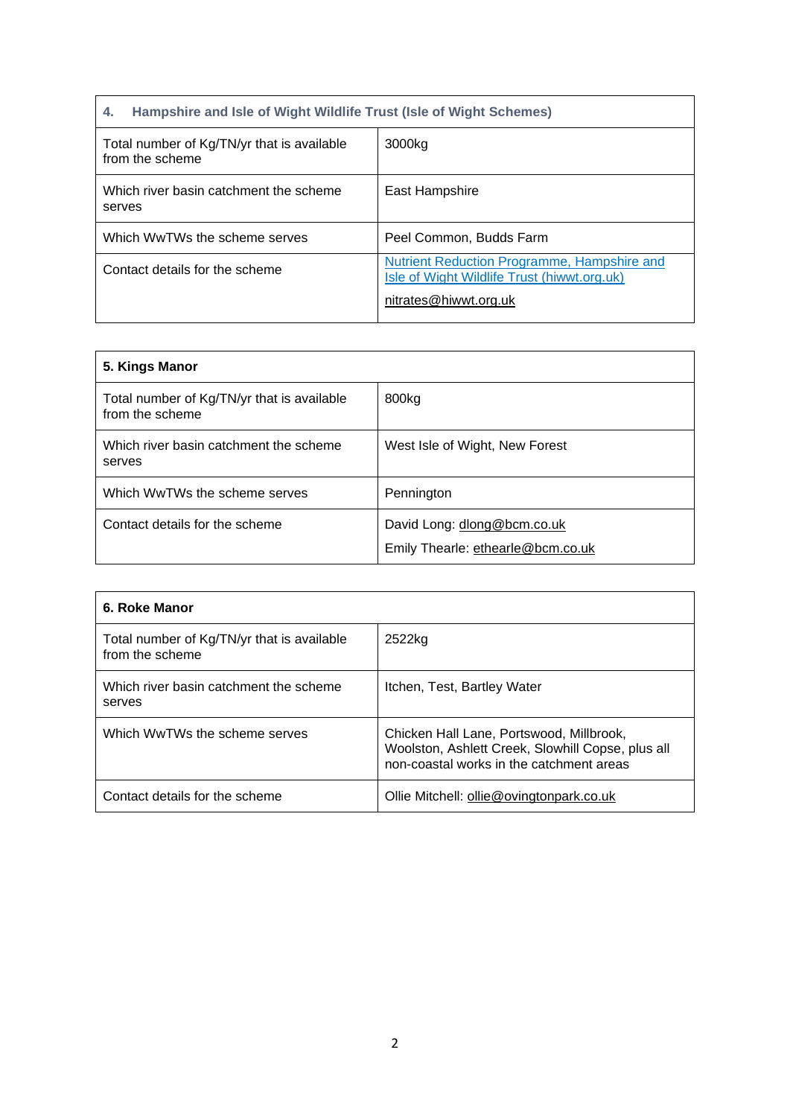| Hampshire and Isle of Wight Wildlife Trust (Isle of Wight Schemes)<br>4. |                                                                                                                     |
|--------------------------------------------------------------------------|---------------------------------------------------------------------------------------------------------------------|
| Total number of Kg/TN/yr that is available<br>from the scheme            | 3000kg                                                                                                              |
| Which river basin catchment the scheme<br>serves                         | East Hampshire                                                                                                      |
| Which WwTWs the scheme serves                                            | Peel Common, Budds Farm                                                                                             |
| Contact details for the scheme                                           | Nutrient Reduction Programme, Hampshire and<br>Isle of Wight Wildlife Trust (hiwwt.org.uk)<br>nitrates@hiwwt.org.uk |

| 5. Kings Manor                                                |                                                                  |
|---------------------------------------------------------------|------------------------------------------------------------------|
| Total number of Kg/TN/yr that is available<br>from the scheme | 800kg                                                            |
| Which river basin catchment the scheme<br>serves              | West Isle of Wight, New Forest                                   |
| Which WwTWs the scheme serves                                 | Pennington                                                       |
| Contact details for the scheme                                | David Long: dlong@bcm.co.uk<br>Emily Thearle: ethearle@bcm.co.uk |

| 6. Roke Manor                                                 |                                                                                                                                           |
|---------------------------------------------------------------|-------------------------------------------------------------------------------------------------------------------------------------------|
| Total number of Kg/TN/yr that is available<br>from the scheme | 2522kg                                                                                                                                    |
| Which river basin catchment the scheme<br>serves              | Itchen, Test, Bartley Water                                                                                                               |
| Which WwTWs the scheme serves                                 | Chicken Hall Lane, Portswood, Millbrook,<br>Woolston, Ashlett Creek, Slowhill Copse, plus all<br>non-coastal works in the catchment areas |
| Contact details for the scheme                                | Ollie Mitchell: ollie@ovingtonpark.co.uk                                                                                                  |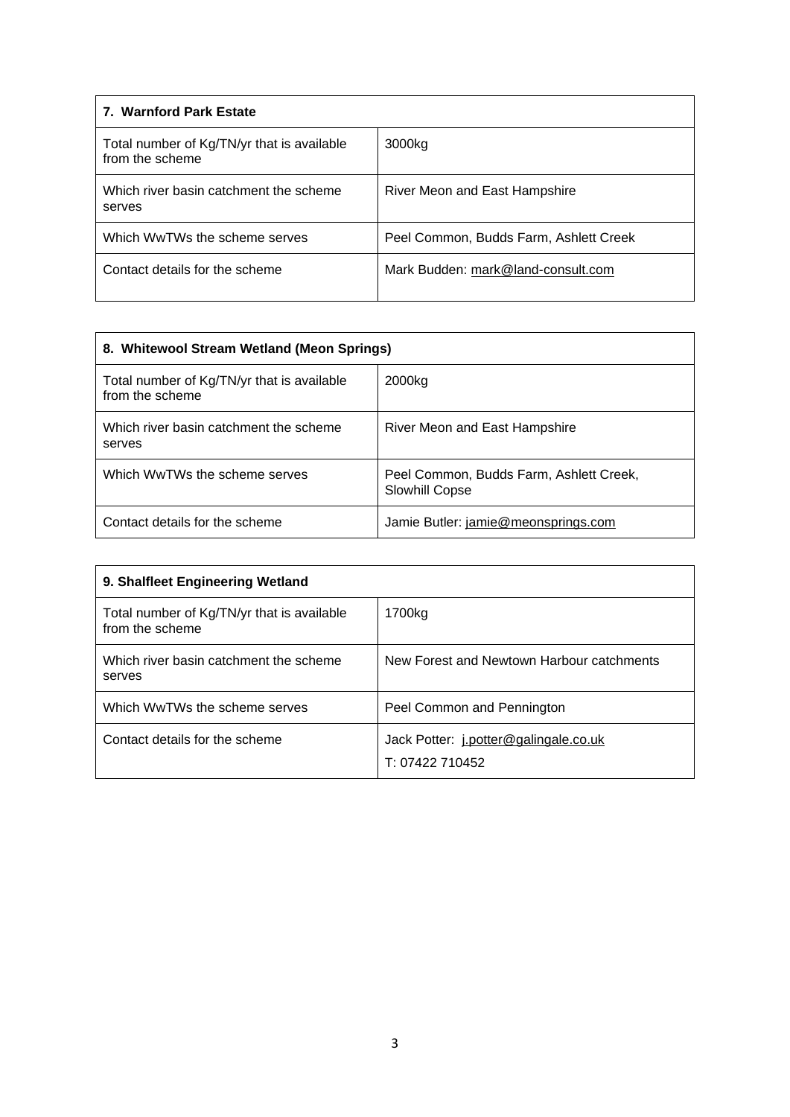| 7. Warnford Park Estate                                       |                                        |
|---------------------------------------------------------------|----------------------------------------|
| Total number of Kg/TN/yr that is available<br>from the scheme | 3000kg                                 |
| Which river basin catchment the scheme<br>serves              | River Meon and East Hampshire          |
| Which WwTWs the scheme serves                                 | Peel Common, Budds Farm, Ashlett Creek |
| Contact details for the scheme                                | Mark Budden: mark@land-consult.com     |

| 8. Whitewool Stream Wetland (Meon Springs)                    |                                                           |
|---------------------------------------------------------------|-----------------------------------------------------------|
| Total number of Kg/TN/yr that is available<br>from the scheme | 2000kg                                                    |
| Which river basin catchment the scheme<br>serves              | River Meon and East Hampshire                             |
| Which WwTWs the scheme serves                                 | Peel Common, Budds Farm, Ashlett Creek,<br>Slowhill Copse |
| Contact details for the scheme                                | Jamie Butler: jamie@meonsprings.com                       |

| 9. Shalfleet Engineering Wetland                              |                                                          |
|---------------------------------------------------------------|----------------------------------------------------------|
| Total number of Kg/TN/yr that is available<br>from the scheme | 1700kg                                                   |
| Which river basin catchment the scheme<br>serves              | New Forest and Newtown Harbour catchments                |
| Which WwTWs the scheme serves                                 | Peel Common and Pennington                               |
| Contact details for the scheme                                | Jack Potter: j.potter@galingale.co.uk<br>T: 07422 710452 |